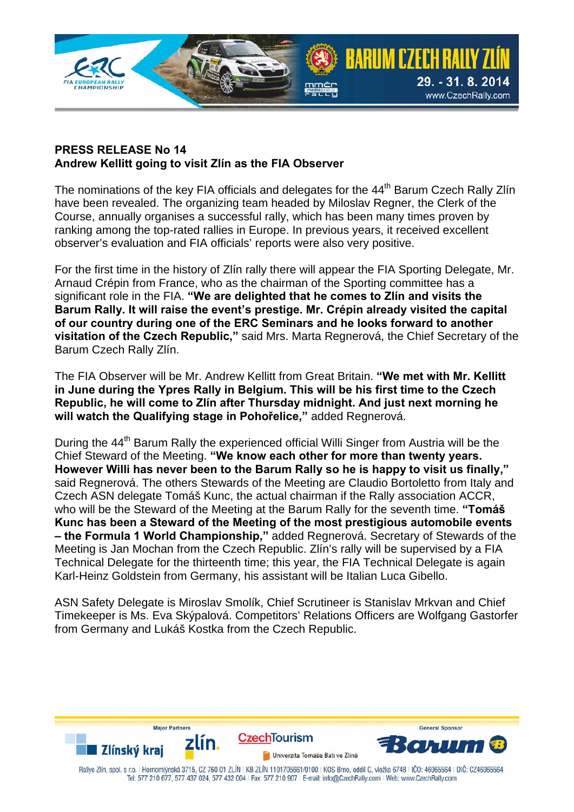

## **PRESS RELEASE No 14 Andrew Kellitt going to visit Zlín as the FIA Observer**

The nominations of the key FIA officials and delegates for the 44<sup>th</sup> Barum Czech Rally Zlín have been revealed. The organizing team headed by Miloslav Regner, the Clerk of the Course, annually organises a successful rally, which has been many times proven by ranking among the top-rated rallies in Europe. In previous years, it received excellent observer's evaluation and FIA officials' reports were also very positive.

For the first time in the history of Zlín rally there will appear the FIA Sporting Delegate, Mr. Arnaud Crépin from France, who as the chairman of the Sporting committee has a significant role in the FIA. **"We are delighted that he comes to Zlín and visits the Barum Rally. It will raise the event's prestige. Mr. Crépin already visited the capital of our country during one of the ERC Seminars and he looks forward to another visitation of the Czech Republic,"** said Mrs. Marta Regnerová, the Chief Secretary of the Barum Czech Rally Zlín.

The FIA Observer will be Mr. Andrew Kellitt from Great Britain. **"We met with Mr. Kellitt in June during the Ypres Rally in Belgium. This will be his first time to the Czech Republic, he will come to Zlín after Thursday midnight. And just next morning he will watch the Qualifying stage in Pohořelice,"** added Regnerová.

During the 44<sup>th</sup> Barum Rally the experienced official Willi Singer from Austria will be the Chief Steward of the Meeting. **"We know each other for more than twenty years. However Willi has never been to the Barum Rally so he is happy to visit us finally,"** said Regnerová. The others Stewards of the Meeting are Claudio Bortoletto from Italy and Czech ASN delegate Tomáš Kunc, the actual chairman if the Rally association ACCR, who will be the Steward of the Meeting at the Barum Rally for the seventh time. **"Tomáš Kunc has been a Steward of the Meeting of the most prestigious automobile events – the Formula 1 World Championship,"** added Regnerová. Secretary of Stewards of the Meeting is Jan Mochan from the Czech Republic. Zlín's rally will be supervised by a FIA Technical Delegate for the thirteenth time; this year, the FIA Technical Delegate is again Karl-Heinz Goldstein from Germany, his assistant will be Italian Luca Gibello.

ASN Safety Delegate is Miroslav Smolík, Chief Scrutineer is Stanislav Mrkvan and Chief Timekeeper is Ms. Eva Skýpalová. Competitors' Relations Officers are Wolfgang Gastorfer from Germany and Lukáš Kostka from the Czech Republic.